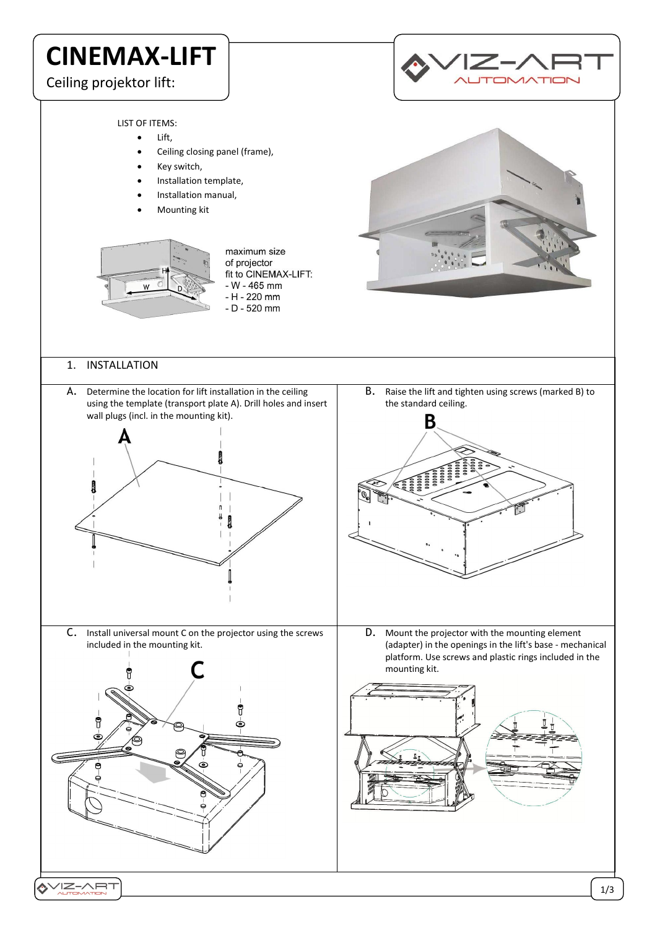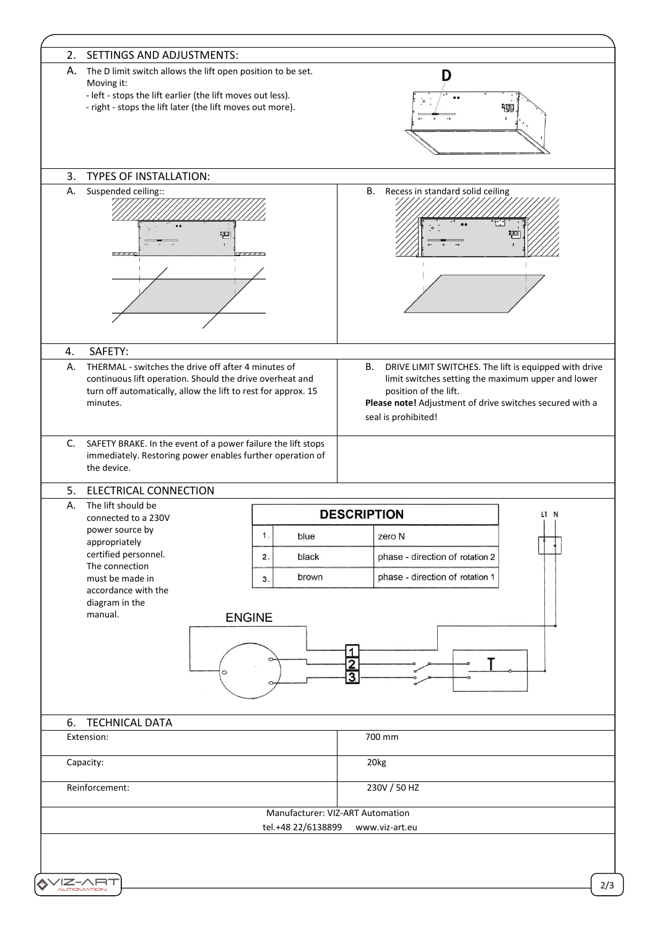| SETTINGS AND ADJUSTMENTS:<br>2.                                                                                                                                                              |                    |                                                                                                                                                                                                                                      |  |
|----------------------------------------------------------------------------------------------------------------------------------------------------------------------------------------------|--------------------|--------------------------------------------------------------------------------------------------------------------------------------------------------------------------------------------------------------------------------------|--|
| А.<br>The D limit switch allows the lift open position to be set.<br>Moving it:<br>- left - stops the lift earlier (the lift moves out less).                                                |                    | D                                                                                                                                                                                                                                    |  |
| - right - stops the lift later (the lift moves out more).                                                                                                                                    |                    |                                                                                                                                                                                                                                      |  |
|                                                                                                                                                                                              |                    |                                                                                                                                                                                                                                      |  |
| 3.<br><b>TYPES OF INSTALLATION:</b>                                                                                                                                                          |                    |                                                                                                                                                                                                                                      |  |
| А.<br>Suspended ceiling::                                                                                                                                                                    | ≔                  | <b>B.</b><br>Recess in standard solid ceiling                                                                                                                                                                                        |  |
|                                                                                                                                                                                              |                    |                                                                                                                                                                                                                                      |  |
| SAFETY:<br>4.<br>А.                                                                                                                                                                          |                    |                                                                                                                                                                                                                                      |  |
| THERMAL - switches the drive off after 4 minutes of<br>continuous lift operation. Should the drive overheat and<br>turn off automatically, allow the lift to rest for approx. 15<br>minutes. |                    | DRIVE LIMIT SWITCHES. The lift is equipped with drive<br><b>B.</b><br>limit switches setting the maximum upper and lower<br>position of the lift.<br>Please note! Adjustment of drive switches secured with a<br>seal is prohibited! |  |
| the device.<br><b>ELECTRICAL CONNECTION</b><br>5.<br>The lift should be<br>Α.<br>connected to a 230V                                                                                         |                    | <b>DESCRIPTION</b><br>L1 N                                                                                                                                                                                                           |  |
| power source by                                                                                                                                                                              | 1.<br>blue         | zero N                                                                                                                                                                                                                               |  |
| appropriately<br>certified personnel.                                                                                                                                                        | black<br>2.        | phase - direction of rotation 2                                                                                                                                                                                                      |  |
| The connection                                                                                                                                                                               |                    | phase - direction of rotation 1                                                                                                                                                                                                      |  |
| must be made in<br>accordance with the                                                                                                                                                       | brown<br>3.        |                                                                                                                                                                                                                                      |  |
| diagram in the                                                                                                                                                                               |                    |                                                                                                                                                                                                                                      |  |
| manual.                                                                                                                                                                                      | <b>ENGINE</b>      |                                                                                                                                                                                                                                      |  |
|                                                                                                                                                                                              |                    |                                                                                                                                                                                                                                      |  |
|                                                                                                                                                                                              |                    | $\overline{1}$                                                                                                                                                                                                                       |  |
|                                                                                                                                                                                              |                    | $rac{2}{3}$                                                                                                                                                                                                                          |  |
|                                                                                                                                                                                              |                    |                                                                                                                                                                                                                                      |  |
| 6.<br><b>TECHNICAL DATA</b>                                                                                                                                                                  |                    |                                                                                                                                                                                                                                      |  |
| Extension:                                                                                                                                                                                   |                    | 700 mm                                                                                                                                                                                                                               |  |
| Capacity:                                                                                                                                                                                    |                    | 20kg                                                                                                                                                                                                                                 |  |
| Reinforcement:                                                                                                                                                                               |                    | 230V / 50 HZ                                                                                                                                                                                                                         |  |
|                                                                                                                                                                                              |                    | Manufacturer: VIZ-ART Automation                                                                                                                                                                                                     |  |
|                                                                                                                                                                                              | tel.+48 22/6138899 | www.viz-art.eu                                                                                                                                                                                                                       |  |
|                                                                                                                                                                                              |                    |                                                                                                                                                                                                                                      |  |
|                                                                                                                                                                                              |                    |                                                                                                                                                                                                                                      |  |
| VIZ-ART                                                                                                                                                                                      |                    |                                                                                                                                                                                                                                      |  |
|                                                                                                                                                                                              |                    |                                                                                                                                                                                                                                      |  |